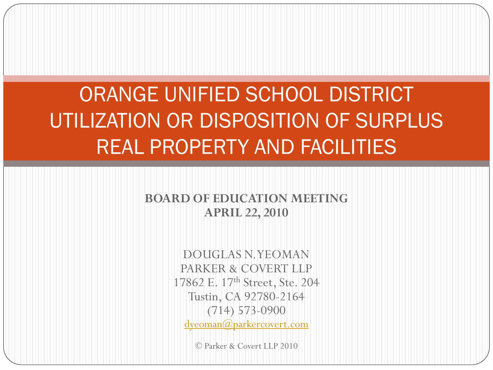# ORANGE UNIFIED SCHOOL DISTRICT UTILIZATION OR DISPOSITION OF SURPLUS REAL PROPERTY AND FACILITIES

#### **BOARD OF EDUCATION MEETING APRIL 22, 2010**

DOUGLAS N. YEOMAN PARKER & COVERT LLP 17862 E. 17<sup>th</sup> Street, Ste. 204 Tustin, CA 92780-2164 (714) 573-0900 [dyeoman@parkercovert.com](mailto:dyeoman@parkercovert.com)

© Parker & Covert LLP 2010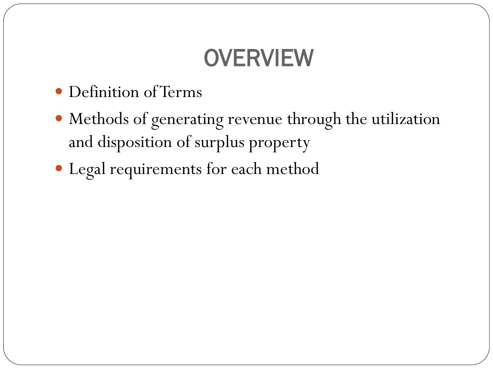# **OVERVIEW**

- Definition of Terms
- Methods of generating revenue through the utilization and disposition of surplus property
- Legal requirements for each method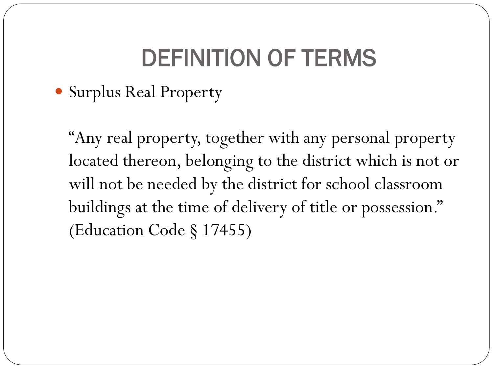# DEFINITION OF TERMS

Surplus Real Property

"Any real property, together with any personal property located thereon, belonging to the district which is not or will not be needed by the district for school classroom buildings at the time of delivery of title or possession." (Education Code § 17455)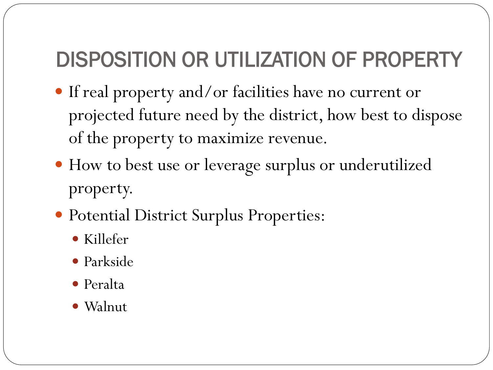### DISPOSITION OR UTILIZATION OF PROPERTY

- If real property and/or facilities have no current or projected future need by the district, how best to dispose of the property to maximize revenue.
- How to best use or leverage surplus or underutilized property.
- Potential District Surplus Properties:
	- Killefer
	- Parkside
	- Peralta
	- Walnut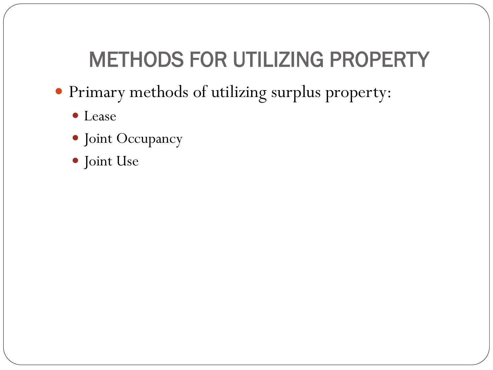### METHODS FOR UTILIZING PROPERTY

- Primary methods of utilizing surplus property:
	- Lease
	- Joint Occupancy
	- Joint Use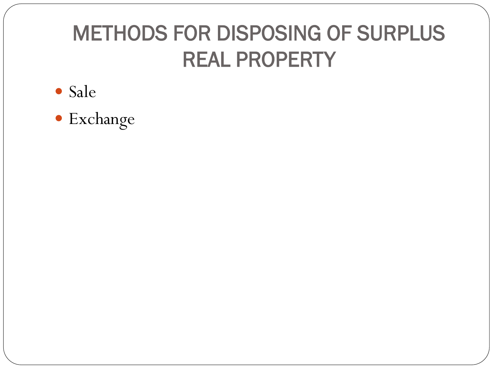# METHODS FOR DISPOSING OF SURPLUS REAL PROPERTY

- Sale
- Exchange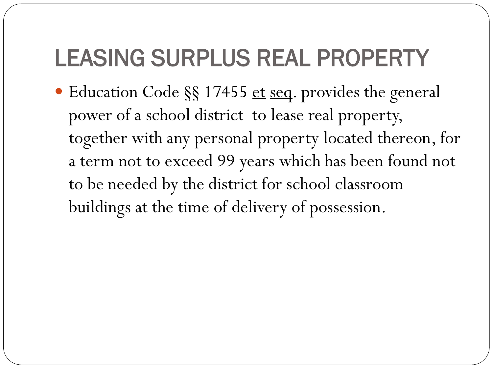# LEASING SURPLUS REAL PROPERTY

● Education Code §§ 17455 et seq. provides the general power of a school district to lease real property, together with any personal property located thereon, for a term not to exceed 99 years which has been found not to be needed by the district for school classroom buildings at the time of delivery of possession.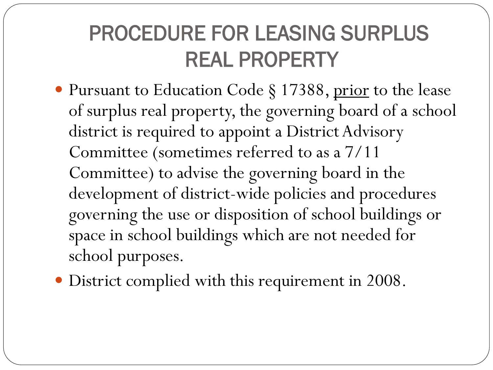### PROCEDURE FOR LEASING SURPLUS REAL PROPERTY

• Pursuant to Education Code § 17388, prior to the lease of surplus real property, the governing board of a school district is required to appoint a District Advisory Committee (sometimes referred to as a 7/11 Committee) to advise the governing board in the development of district-wide policies and procedures governing the use or disposition of school buildings or space in school buildings which are not needed for school purposes.

District complied with this requirement in 2008.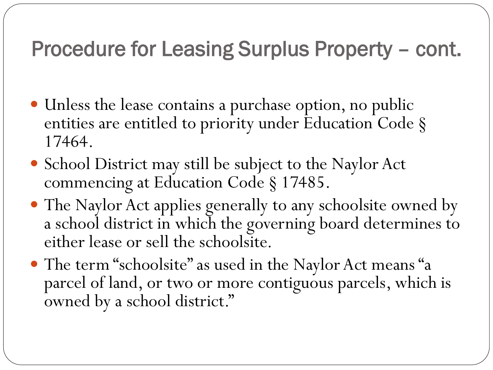### Procedure for Leasing Surplus Property – cont.

- Unless the lease contains a purchase option, no public entities are entitled to priority under Education Code § 17464.
- School District may still be subject to the Naylor Act commencing at Education Code § 17485.
- The Naylor Act applies generally to any schoolsite owned by a school district in which the governing board determines to either lease or sell the schoolsite.
- The term "schoolsite" as used in the Naylor Act means "a parcel of land, or two or more contiguous parcels, which is owned by a school district."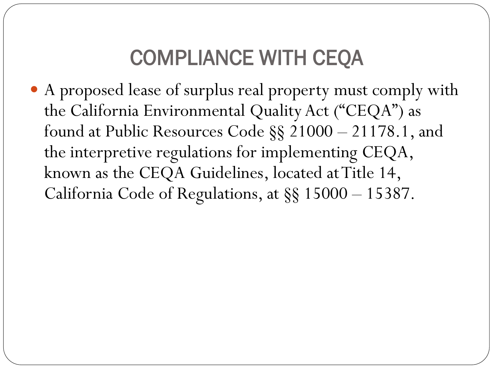### COMPLIANCE WITH CEQA

 A proposed lease of surplus real property must comply with the California Environmental Quality Act ("CEQA") as found at Public Resources Code §§ 21000 – 21178.1, and the interpretive regulations for implementing CEQA, known as the CEQA Guidelines, located at Title 14, California Code of Regulations, at §§ 15000 – 15387.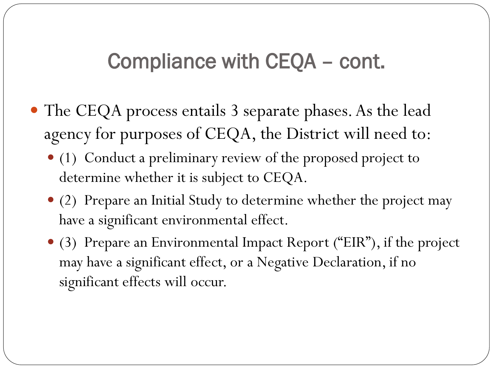### Compliance with CEQA – cont.

- The CEQA process entails 3 separate phases. As the lead agency for purposes of CEQA, the District will need to:
	- (1) Conduct a preliminary review of the proposed project to determine whether it is subject to CEQA.
	- (2) Prepare an Initial Study to determine whether the project may have a significant environmental effect.
	- (3) Prepare an Environmental Impact Report ("EIR"), if the project may have a significant effect, or a Negative Declaration, if no significant effects will occur.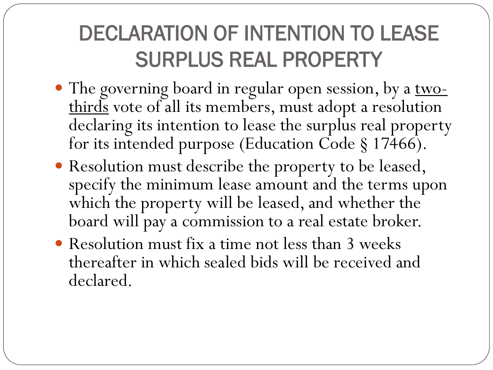# DECLARATION OF INTENTION TO LEASE SURPLUS REAL PROPERTY

- The governing board in regular open session, by a <u>two-</u> thirds vote of all its members, must adopt a resolution declaring its intention to lease the surplus real property for its intended purpose (Education Code § 17466).
- Resolution must describe the property to be leased, specify the minimum lease amount and the terms upon which the property will be leased, and whether the board will pay a commission to a real estate broker.
- Resolution must fix a time not less than 3 weeks thereafter in which sealed bids will be received and declared.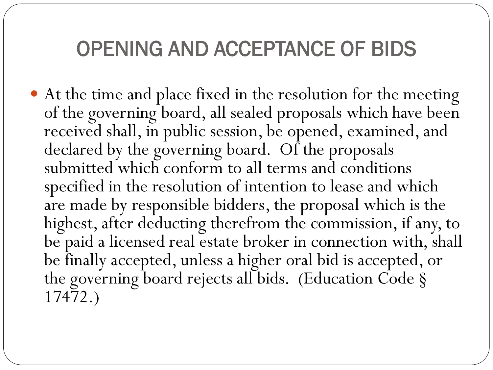### OPENING AND ACCEPTANCE OF BIDS

 At the time and place fixed in the resolution for the meeting of the governing board, all sealed proposals which have been received shall, in public session, be opened, examined, and declared by the governing board. Of the proposals submitted which conform to all terms and conditions specified in the resolution of intention to lease and which are made by responsible bidders, the proposal which is the highest, after deducting therefrom the commission, if any, to be paid a licensed real estate broker in connection with, shall be finally accepted, unless a higher oral bid is accepted, or the governing board rejects all bids. (Education Code § 17472.)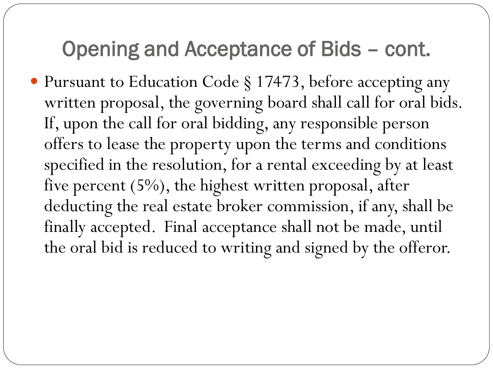#### Opening and Acceptance of Bids – cont.

 Pursuant to Education Code § 17473, before accepting any written proposal, the governing board shall call for oral bids. If, upon the call for oral bidding, any responsible person offers to lease the property upon the terms and conditions specified in the resolution, for a rental exceeding by at least five percent (5%), the highest written proposal, after deducting the real estate broker commission, if any, shall be finally accepted. Final acceptance shall not be made, until the oral bid is reduced to writing and signed by the offeror.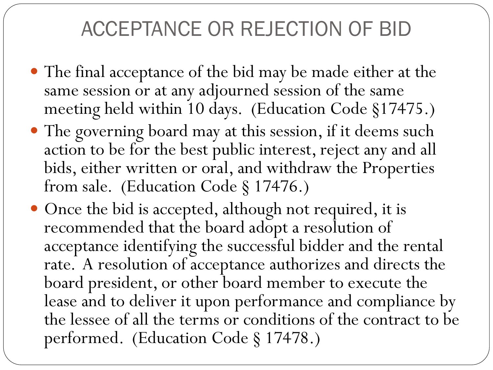### ACCEPTANCE OR REJECTION OF BID

- The final acceptance of the bid may be made either at the same session or at any adjourned session of the same meeting held within 10 days. (Education Code §17475.)
- The governing board may at this session, if it deems such action to be for the best public interest, reject any and all bids, either written or oral, and withdraw the Properties from sale. (Education Code § 17476.)
- Once the bid is accepted, although not required, it is recommended that the board adopt a resolution of acceptance identifying the successful bidder and the rental rate. A resolution of acceptance authorizes and directs the board president, or other board member to execute the lease and to deliver it upon performance and compliance by the lessee of all the terms or conditions of the contract to be performed. (Education Code § 17478.)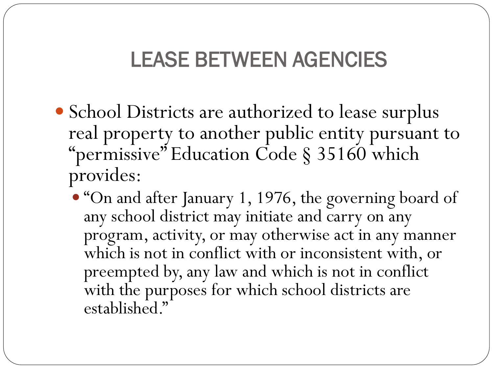### LEASE BETWEEN AGENCIES

- School Districts are authorized to lease surplus real property to another public entity pursuant to "permissive" Education Code § 35160 which provides:
	- "On and after January 1, 1976, the governing board of any school district may initiate and carry on any program, activity, or may otherwise act in any manner which is not in conflict with or inconsistent with, or preempted by, any law and which is not in conflict with the purposes for which school districts are established."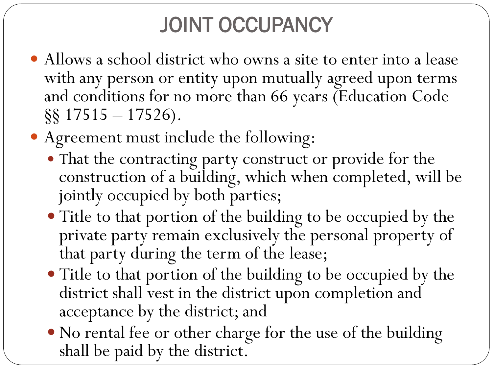# JOINT OCCUPANCY

- Allows a school district who owns a site to enter into a lease with any person or entity upon mutually agreed upon terms and conditions for no more than 66 years (Education Code  $\S$ § 17515 – 17526).
- Agreement must include the following:
	- That the contracting party construct or provide for the construction of a building, which when completed, will be jointly occupied by both parties;
	- Title to that portion of the building to be occupied by the private party remain exclusively the personal property of that party during the term of the lease;
	- Title to that portion of the building to be occupied by the district shall vest in the district upon completion and acceptance by the district; and
	- No rental fee or other charge for the use of the building shall be paid by the district.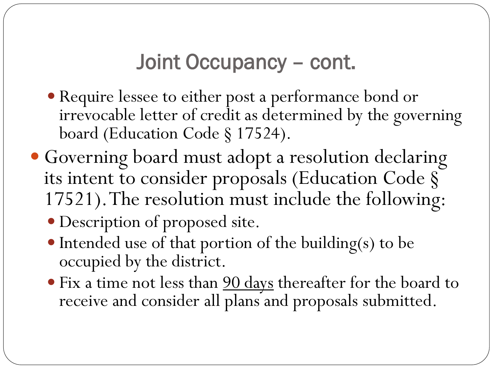#### Joint Occupancy – cont.

- Require lessee to either post a performance bond or irrevocable letter of credit as determined by the governing board (Education Code § 17524).
- Governing board must adopt a resolution declaring its intent to consider proposals (Education Code § 17521). The resolution must include the following:
	- Description of proposed site.
	- $\bullet$  Intended use of that portion of the building(s) to be occupied by the district.
	- Fix a time not less than 90 days thereafter for the board to receive and consider all plans and proposals submitted.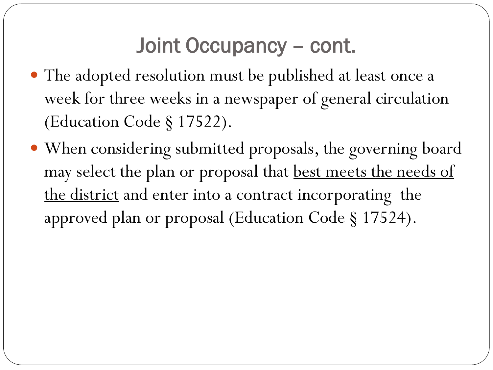#### Joint Occupancy – cont.

- The adopted resolution must be published at least once a week for three weeks in a newspaper of general circulation (Education Code § 17522).
- When considering submitted proposals, the governing board may select the plan or proposal that best meets the needs of the district and enter into a contract incorporating the approved plan or proposal (Education Code § 17524).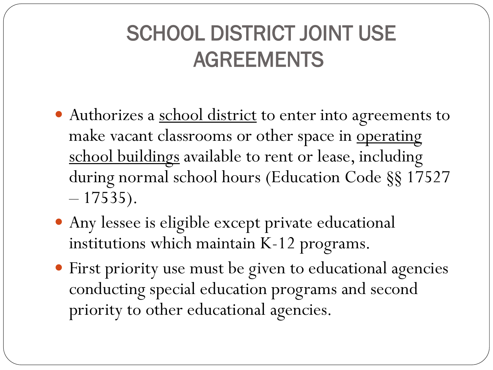# SCHOOL DISTRICT JOINT USE AGREEMENTS

- Authorizes a school district to enter into agreements to make vacant classrooms or other space in operating school buildings available to rent or lease, including during normal school hours (Education Code §§ 17527  $-17535$ .
- Any lessee is eligible except private educational institutions which maintain K-12 programs.
- First priority use must be given to educational agencies conducting special education programs and second priority to other educational agencies.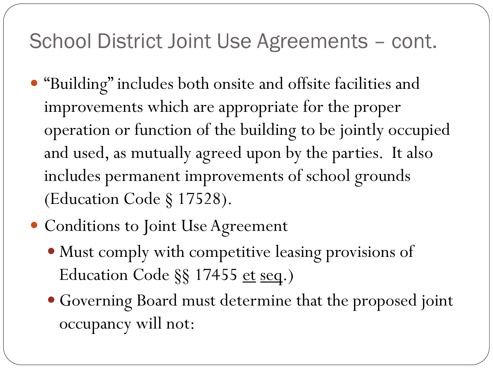- "Building" includes both onsite and offsite facilities and improvements which are appropriate for the proper operation or function of the building to be jointly occupied and used, as mutually agreed upon by the parties. It also includes permanent improvements of school grounds (Education Code § 17528).
- Conditions to Joint Use Agreement
	- Must comply with competitive leasing provisions of Education Code §§ 17455 et seq.)
	- Governing Board must determine that the proposed joint occupancy will not: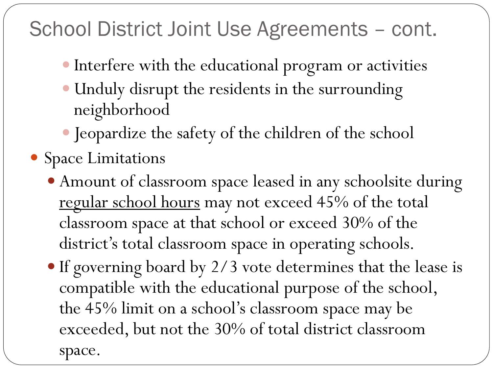- Interfere with the educational program or activities
- Unduly disrupt the residents in the surrounding neighborhood
- Jeopardize the safety of the children of the school
- Space Limitations
	- Amount of classroom space leased in any schoolsite during regular school hours may not exceed 45% of the total classroom space at that school or exceed 30% of the district's total classroom space in operating schools.
	- If governing board by 2/3 vote determines that the lease is compatible with the educational purpose of the school, the 45% limit on a school's classroom space may be exceeded, but not the 30% of total district classroom space.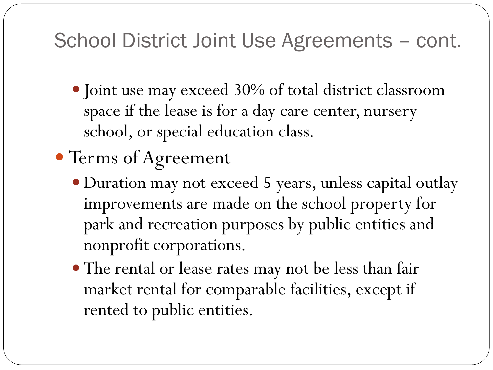- Joint use may exceed 30% of total district classroom space if the lease is for a day care center, nursery school, or special education class.
- Terms of Agreement
	- Duration may not exceed 5 years, unless capital outlay improvements are made on the school property for park and recreation purposes by public entities and nonprofit corporations.
	- The rental or lease rates may not be less than fair market rental for comparable facilities, except if rented to public entities.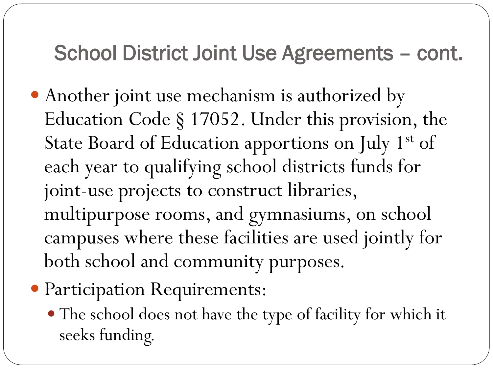- Another joint use mechanism is authorized by Education Code § 17052. Under this provision, the State Board of Education apportions on July 1<sup>st</sup> of each year to qualifying school districts funds for joint-use projects to construct libraries, multipurpose rooms, and gymnasiums, on school campuses where these facilities are used jointly for both school and community purposes.
- Participation Requirements:
	- The school does not have the type of facility for which it seeks funding.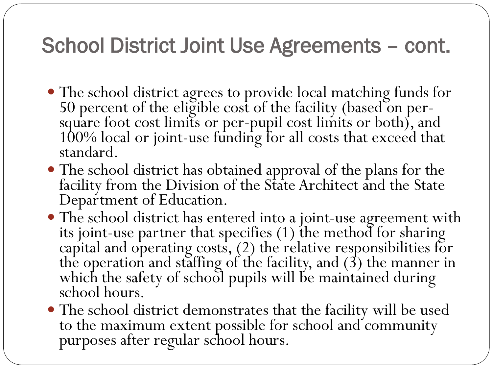- The school district agrees to provide local matching funds for 50 percent of the eligible cost of the facility (based on per-<br>square foot cost limits or per-pupil cost limits or both), and<br>100% local or joint-use funding for all costs that exceed that<br>standard.
- The school district has obtained approval of the plans for the facility from the Division of the State Architect and the State Department of Education.
- The school district has entered into a joint-use agreement with its joint-use partner that specifies (1) the method for sharing capital and operating costs, (2) the relative responsibilities for the operation and staffing of the facility, and (3) the manner in which the safety of school pupils will be maintained during school hours.
- The school district demonstrates that the facility will be used to the maximum extent possible for school and community purposes after regular school hours.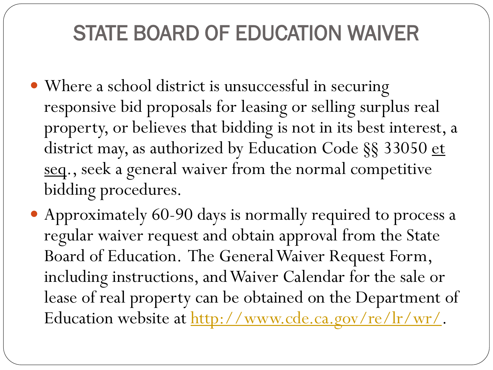### STATE BOARD OF EDUCATION WAIVER

- Where a school district is unsuccessful in securing responsive bid proposals for leasing or selling surplus real property, or believes that bidding is not in its best interest, a district may, as authorized by Education Code §§ 33050 et seq., seek a general waiver from the normal competitive bidding procedures.
- Approximately 60-90 days is normally required to process a regular waiver request and obtain approval from the State Board of Education. The General Waiver Request Form, including instructions, and Waiver Calendar for the sale or lease of real property can be obtained on the Department of Education website at <http://www.cde.ca.gov/re/lr/wr/>.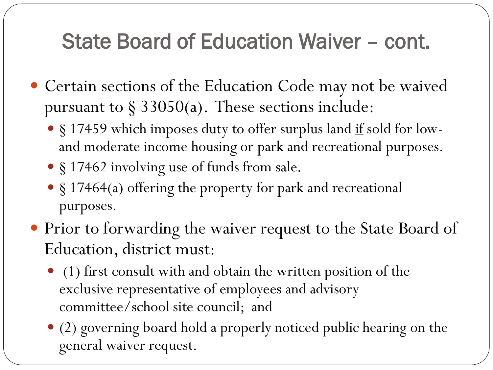### State Board of Education Waiver – cont.

- Certain sections of the Education Code may not be waived pursuant to  $\S 33050(a)$ . These sections include:
	- § 17459 which imposes duty to offer surplus land if sold for lowand moderate income housing or park and recreational purposes.
	- § 17462 involving use of funds from sale.
	- § 17464(a) offering the property for park and recreational purposes.
- Prior to forwarding the waiver request to the State Board of Education, district must:
	- (1) first consult with and obtain the written position of the exclusive representative of employees and advisory committee/school site council; and
	- (2) governing board hold a properly noticed public hearing on the general waiver request.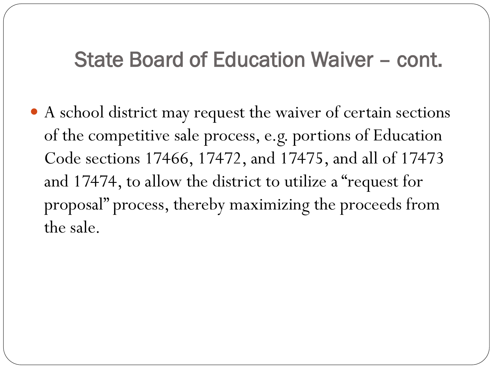#### State Board of Education Waiver – cont.

 A school district may request the waiver of certain sections of the competitive sale process, e.g. portions of Education Code sections 17466, 17472, and 17475, and all of 17473 and 17474, to allow the district to utilize a "request for proposal" process, thereby maximizing the proceeds from the sale.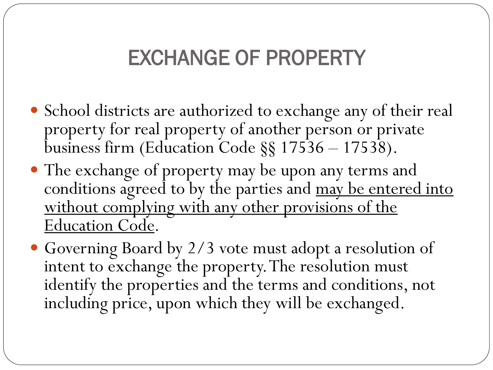### EXCHANGE OF PROPERTY

- School districts are authorized to exchange any of their real property for real property of another person or private business firm (Education Code §§ 17536 – 17538).
- The exchange of property may be upon any terms and conditions agreed to by the parties and may be entered into without complying with any other provisions of the Education Code.
- Governing Board by 2/3 vote must adopt a resolution of intent to exchange the property. The resolution must identify the properties and the terms and conditions, not including price, upon which they will be exchanged.